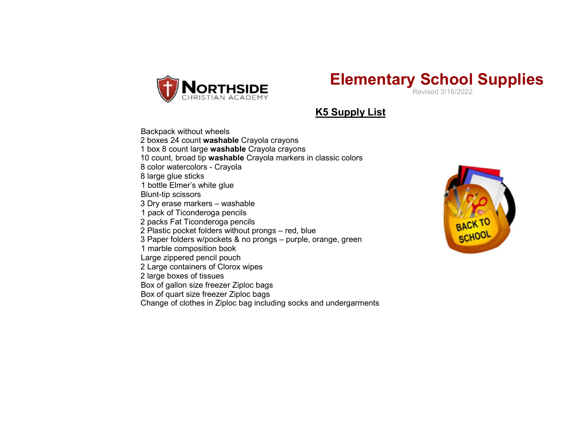

## Elementary School Supplies  $DE$ <br>Revised 3/16/2022

**K5 Supply List** 

Backpack without wheels 2 boxes 24 count washable Crayola crayons 1 box 8 count large washable Crayola crayons 10 count, broad tip washable Crayola markers in classic colors 8 color watercolors - Crayola 8 large glue sticks 1 bottle Elmer's white glue Blunt-tip scissors 3 Dry erase markers – washable 1 pack of Ticonderoga pencils 2 packs Fat Ticonderoga pencils 2 Plastic pocket folders without prongs – red, blue 3 Paper folders w/pockets & no prongs – purple, orange, green 1 marble composition book Large zippered pencil pouch 2 Large containers of Clorox wipes 2 large boxes of tissues Box of gallon size freezer Ziploc bags Box of quart size freezer Ziploc bags

Change of clothes in Ziploc bag including socks and undergarments

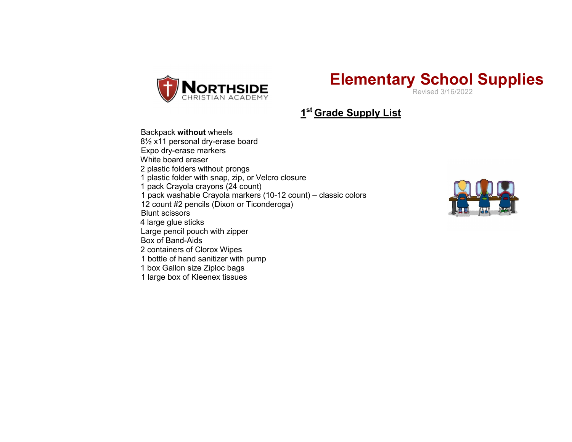

## Elementary School Supplies

1<sup>st</sup> Grade Supply List

## Backpack without wheels

8½ x11 personal dry-erase board

Expo dry-erase markers

White board eraser

2 plastic folders without prongs

1 plastic folder with snap, zip, or Velcro closure

1 pack Crayola crayons (24 count)

1 pack washable Crayola markers (10-12 count) – classic colors

12 count #2 pencils (Dixon or Ticonderoga)

Blunt scissors

4 large glue sticks

Large pencil pouch with zipper

Box of Band-Aids

2 containers of Clorox Wipes

1 bottle of hand sanitizer with pump

1 box Gallon size Ziploc bags

1 large box of Kleenex tissues

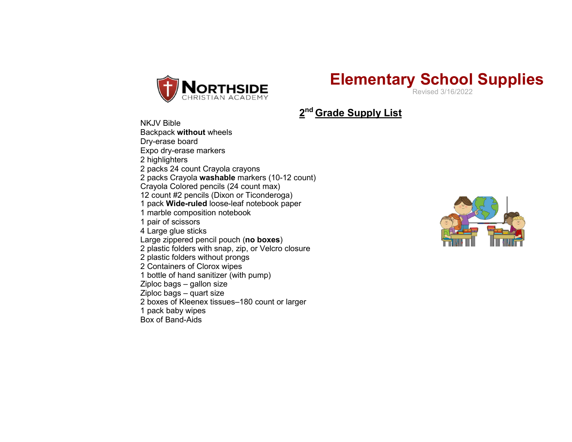

## Elementary School Supplies Revised 3/16/2022

2<sup>nd</sup> Grade Supply List

NKJV Bible Backpack without wheels Dry-erase board Expo dry-erase markers 2 highlighters 2 packs 24 count Crayola crayons 2 packs Crayola washable markers (10-12 count) Crayola Colored pencils (24 count max) 12 count #2 pencils (Dixon or Ticonderoga) 1 pack Wide-ruled loose-leaf notebook paper 1 marble composition notebook 1 pair of scissors 4 Large glue sticks Large zippered pencil pouch (no boxes) 2 plastic folders with snap, zip, or Velcro closure 2 plastic folders without prongs 2 Containers of Clorox wipes 1 bottle of hand sanitizer (with pump) Ziploc bags – gallon size Ziploc bags – quart size 2 boxes of Kleenex tissues–180 count or larger 1 pack baby wipes Box of Band-Aids

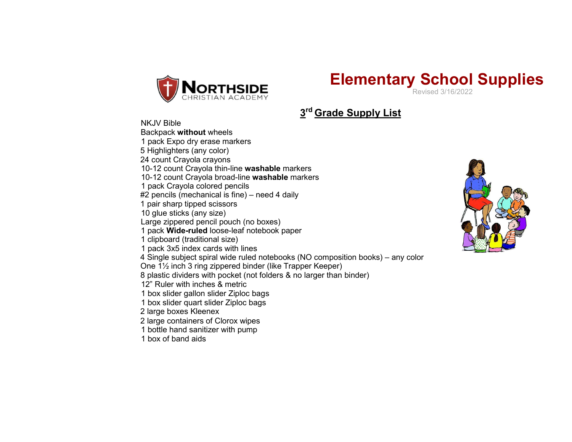



3<sup>rd</sup> Grade Supply List

NKJV Bible Backpack without wheels 1 pack Expo dry erase markers 5 Highlighters (any color) 24 count Crayola crayons 10-12 count Crayola thin-line washable markers 10-12 count Crayola broad-line washable markers 1 pack Crayola colored pencils #2 pencils (mechanical is fine) – need 4 daily 1 pair sharp tipped scissors 10 glue sticks (any size) Large zippered pencil pouch (no boxes) 1 pack Wide-ruled loose-leaf notebook paper 1 clipboard (traditional size) 1 pack 3x5 index cards with lines 4 Single subject spiral wide ruled notebooks (NO composition books) – any color One 1½ inch 3 ring zippered binder (like Trapper Keeper) 8 plastic dividers with pocket (not folders & no larger than binder) 12" Ruler with inches & metric 1 box slider gallon slider Ziploc bags 1 box slider quart slider Ziploc bags 2 large boxes Kleenex 2 large containers of Clorox wipes 1 bottle hand sanitizer with pump

1 box of band aids